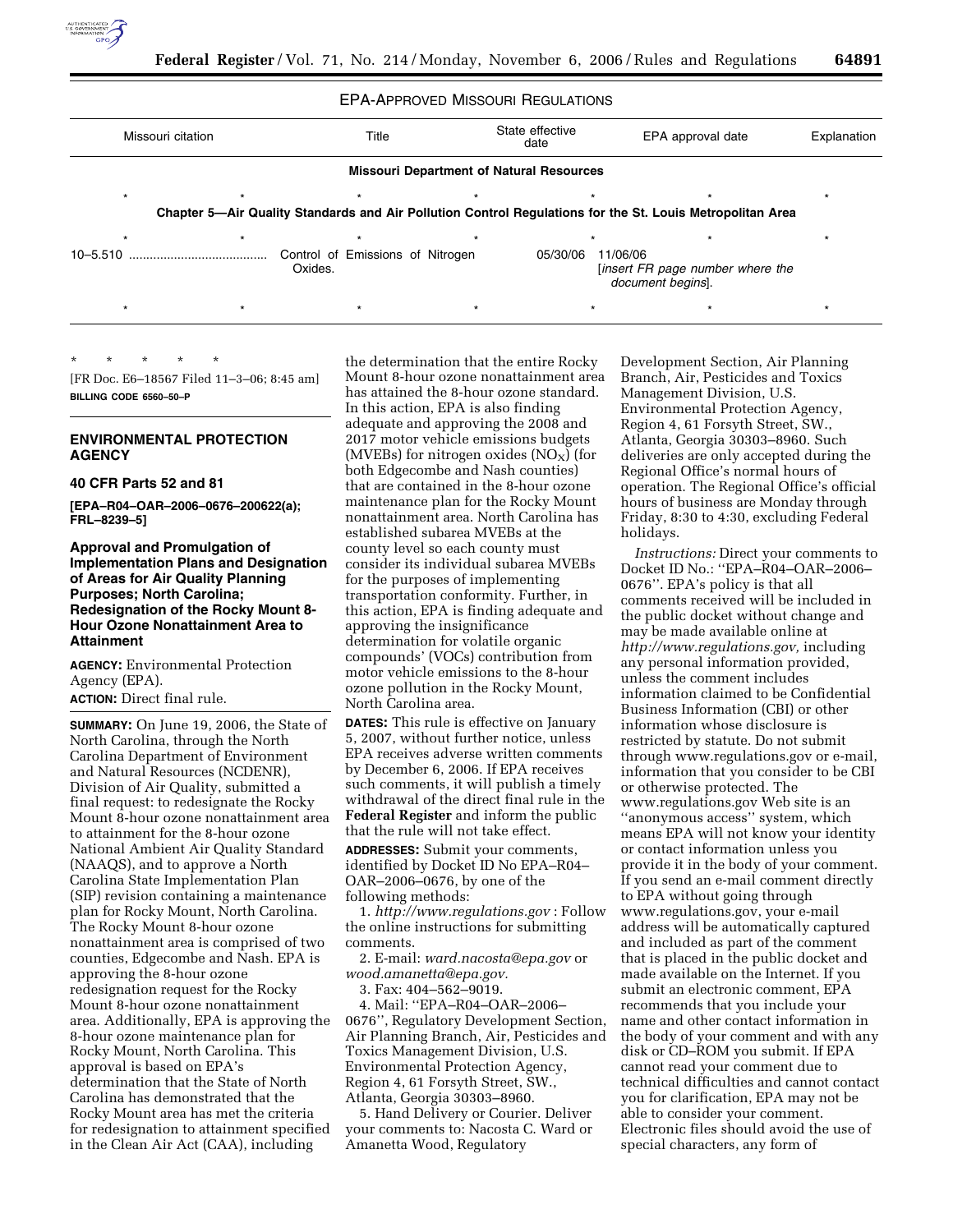

|                   |  |                                             | <b>EPA-APPROVED MISSOURI REGULATIONS</b>        |                                                                                                           |             |
|-------------------|--|---------------------------------------------|-------------------------------------------------|-----------------------------------------------------------------------------------------------------------|-------------|
| Missouri citation |  | Title                                       | State effective<br>date                         | EPA approval date                                                                                         | Explanation |
|                   |  |                                             | <b>Missouri Department of Natural Resources</b> |                                                                                                           |             |
| $\star$           |  | $\star$                                     |                                                 |                                                                                                           |             |
|                   |  |                                             |                                                 | Chapter 5-Air Quality Standards and Air Pollution Control Regulations for the St. Louis Metropolitan Area |             |
|                   |  | $\star$                                     |                                                 |                                                                                                           |             |
| $10 - 5.510$      |  | Control of Emissions of Nitrogen<br>Oxides. | 05/30/06                                        | 11/06/06<br>[insert FR page number where the<br>document begins.                                          |             |
|                   |  | $\star$                                     |                                                 |                                                                                                           |             |

\* \* \* \* \* [FR Doc. E6–18567 Filed 11–3–06; 8:45 am]

**BILLING CODE 6560–50–P** 

# **ENVIRONMENTAL PROTECTION AGENCY**

### **40 CFR Parts 52 and 81**

**[EPA–R04–OAR–2006–0676–200622(a); FRL–8239–5]** 

# **Approval and Promulgation of Implementation Plans and Designation of Areas for Air Quality Planning Purposes; North Carolina; Redesignation of the Rocky Mount 8- Hour Ozone Nonattainment Area to Attainment**

**AGENCY:** Environmental Protection Agency (EPA). **ACTION:** Direct final rule.

**SUMMARY:** On June 19, 2006, the State of North Carolina, through the North Carolina Department of Environment and Natural Resources (NCDENR), Division of Air Quality, submitted a final request: to redesignate the Rocky Mount 8-hour ozone nonattainment area to attainment for the 8-hour ozone National Ambient Air Quality Standard (NAAQS), and to approve a North Carolina State Implementation Plan (SIP) revision containing a maintenance plan for Rocky Mount, North Carolina. The Rocky Mount 8-hour ozone nonattainment area is comprised of two counties, Edgecombe and Nash. EPA is approving the 8-hour ozone redesignation request for the Rocky Mount 8-hour ozone nonattainment area. Additionally, EPA is approving the 8-hour ozone maintenance plan for Rocky Mount, North Carolina. This approval is based on EPA's determination that the State of North Carolina has demonstrated that the Rocky Mount area has met the criteria for redesignation to attainment specified in the Clean Air Act (CAA), including

the determination that the entire Rocky Mount 8-hour ozone nonattainment area has attained the 8-hour ozone standard. In this action, EPA is also finding adequate and approving the 2008 and 2017 motor vehicle emissions budgets (MVEBs) for nitrogen oxides  $(NO<sub>X</sub>)$  (for both Edgecombe and Nash counties) that are contained in the 8-hour ozone maintenance plan for the Rocky Mount nonattainment area. North Carolina has established subarea MVEBs at the county level so each county must consider its individual subarea MVEBs for the purposes of implementing transportation conformity. Further, in this action, EPA is finding adequate and approving the insignificance determination for volatile organic compounds' (VOCs) contribution from motor vehicle emissions to the 8-hour ozone pollution in the Rocky Mount, North Carolina area.

**DATES:** This rule is effective on January 5, 2007, without further notice, unless EPA receives adverse written comments by December 6, 2006. If EPA receives such comments, it will publish a timely withdrawal of the direct final rule in the **Federal Register** and inform the public that the rule will not take effect.

**ADDRESSES:** Submit your comments, identified by Docket ID No EPA–R04– OAR–2006–0676, by one of the following methods:

1. *http://www.regulations.gov* : Follow the online instructions for submitting comments.

2. E-mail: *ward.nacosta@epa.gov* or *wood.amanetta@epa.gov.* 

3. Fax: 404–562–9019.

4. Mail: ''EPA–R04–OAR–2006– 0676'', Regulatory Development Section, Air Planning Branch, Air, Pesticides and Toxics Management Division, U.S. Environmental Protection Agency, Region 4, 61 Forsyth Street, SW., Atlanta, Georgia 30303–8960.

5. Hand Delivery or Courier. Deliver your comments to: Nacosta C. Ward or Amanetta Wood, Regulatory

Development Section, Air Planning Branch, Air, Pesticides and Toxics Management Division, U.S. Environmental Protection Agency, Region 4, 61 Forsyth Street, SW., Atlanta, Georgia 30303–8960. Such deliveries are only accepted during the Regional Office's normal hours of operation. The Regional Office's official hours of business are Monday through Friday, 8:30 to 4:30, excluding Federal holidays.

*Instructions:* Direct your comments to Docket ID No.: ''EPA–R04–OAR–2006– 0676''. EPA's policy is that all comments received will be included in the public docket without change and may be made available online at *http://www.regulations.gov,* including any personal information provided, unless the comment includes information claimed to be Confidential Business Information (CBI) or other information whose disclosure is restricted by statute. Do not submit through www.regulations.gov or e-mail, information that you consider to be CBI or otherwise protected. The www.regulations.gov Web site is an ''anonymous access'' system, which means EPA will not know your identity or contact information unless you provide it in the body of your comment. If you send an e-mail comment directly to EPA without going through www.regulations.gov, your e-mail address will be automatically captured and included as part of the comment that is placed in the public docket and made available on the Internet. If you submit an electronic comment, EPA recommends that you include your name and other contact information in the body of your comment and with any disk or CD–ROM you submit. If EPA cannot read your comment due to technical difficulties and cannot contact you for clarification, EPA may not be able to consider your comment. Electronic files should avoid the use of special characters, any form of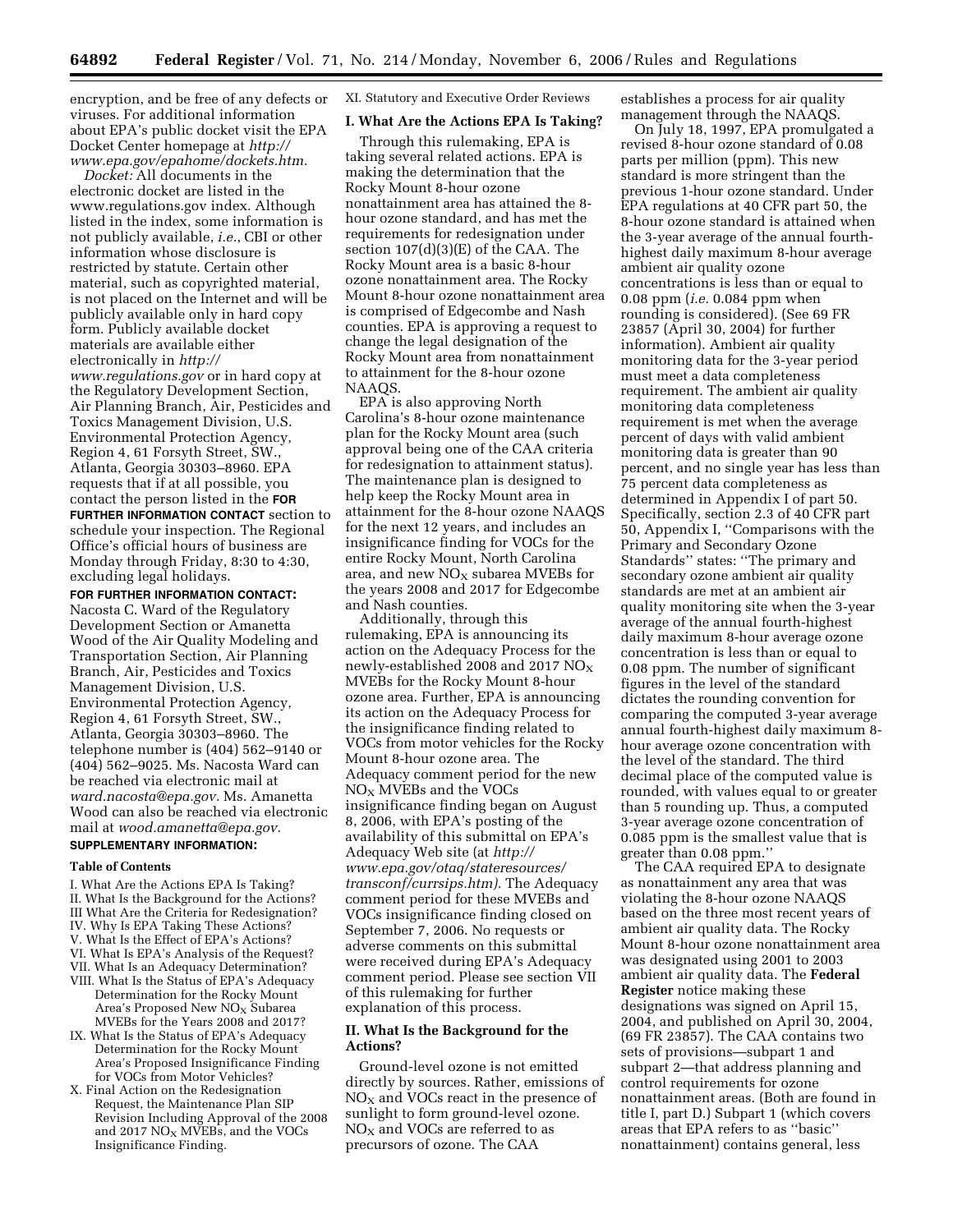encryption, and be free of any defects or viruses. For additional information about EPA's public docket visit the EPA Docket Center homepage at *http:// www.epa.gov/epahome/dockets.htm.* 

*Docket:* All documents in the electronic docket are listed in the www.regulations.gov index. Although listed in the index, some information is not publicly available, *i.e.*, CBI or other information whose disclosure is restricted by statute. Certain other material, such as copyrighted material, is not placed on the Internet and will be publicly available only in hard copy form. Publicly available docket materials are available either electronically in *http:// www.regulations.gov* or in hard copy at the Regulatory Development Section, Air Planning Branch, Air, Pesticides and Toxics Management Division, U.S. Environmental Protection Agency, Region 4, 61 Forsyth Street, SW., Atlanta, Georgia 30303–8960. EPA requests that if at all possible, you contact the person listed in the **FOR FURTHER INFORMATION CONTACT** section to schedule your inspection. The Regional Office's official hours of business are Monday through Friday, 8:30 to 4:30, excluding legal holidays.

**FOR FURTHER INFORMATION CONTACT:**  Nacosta C. Ward of the Regulatory Development Section or Amanetta Wood of the Air Quality Modeling and Transportation Section, Air Planning Branch, Air, Pesticides and Toxics Management Division, U.S. Environmental Protection Agency, Region 4, 61 Forsyth Street, SW., Atlanta, Georgia 30303–8960. The telephone number is (404) 562–9140 or (404) 562–9025. Ms. Nacosta Ward can be reached via electronic mail at *ward.nacosta@epa.gov.* Ms. Amanetta Wood can also be reached via electronic mail at *wood.amanetta@epa.gov.*  **SUPPLEMENTARY INFORMATION:** 

#### **Table of Contents**

- I. What Are the Actions EPA Is Taking?
- II. What Is the Background for the Actions?
- III What Are the Criteria for Redesignation?
- IV. Why Is EPA Taking These Actions?
- V. What Is the Effect of EPA's Actions?
- VI. What Is EPA's Analysis of the Request?
- VII. What Is an Adequacy Determination?
- VIII. What Is the Status of EPA's Adequacy Determination for the Rocky Mount Area's Proposed New NO<sub>x</sub> Subarea MVEBs for the Years 2008 and 2017?
- IX. What Is the Status of EPA's Adequacy Determination for the Rocky Mount Area's Proposed Insignificance Finding for VOCs from Motor Vehicles?
- X. Final Action on the Redesignation Request, the Maintenance Plan SIP Revision Including Approval of the 2008 and 2017  $NO<sub>X</sub>$  MVEBs, and the VOCs Insignificance Finding.

XI. Statutory and Executive Order Reviews

### **I. What Are the Actions EPA Is Taking?**

Through this rulemaking, EPA is taking several related actions. EPA is making the determination that the Rocky Mount 8-hour ozone nonattainment area has attained the 8 hour ozone standard, and has met the requirements for redesignation under section 107(d)(3)(E) of the CAA. The Rocky Mount area is a basic 8-hour ozone nonattainment area. The Rocky Mount 8-hour ozone nonattainment area is comprised of Edgecombe and Nash counties. EPA is approving a request to change the legal designation of the Rocky Mount area from nonattainment to attainment for the 8-hour ozone NAAQS.

EPA is also approving North Carolina's 8-hour ozone maintenance plan for the Rocky Mount area (such approval being one of the CAA criteria for redesignation to attainment status). The maintenance plan is designed to help keep the Rocky Mount area in attainment for the 8-hour ozone NAAQS for the next 12 years, and includes an insignificance finding for VOCs for the entire Rocky Mount, North Carolina area, and new  $NO<sub>x</sub>$  subarea MVEBs for the years 2008 and 2017 for Edgecombe and Nash counties.

Additionally, through this rulemaking, EPA is announcing its action on the Adequacy Process for the newly-established 2008 and 2017  $NO_X$ MVEBs for the Rocky Mount 8-hour ozone area. Further, EPA is announcing its action on the Adequacy Process for the insignificance finding related to VOCs from motor vehicles for the Rocky Mount 8-hour ozone area. The Adequacy comment period for the new NOX MVEBs and the VOCs insignificance finding began on August 8, 2006, with EPA's posting of the availability of this submittal on EPA's Adequacy Web site (at *http:// www.epa.gov/otaq/stateresources/ transconf/currsips.htm).* The Adequacy comment period for these MVEBs and VOCs insignificance finding closed on September 7, 2006. No requests or adverse comments on this submittal were received during EPA's Adequacy comment period. Please see section VII of this rulemaking for further explanation of this process.

### **II. What Is the Background for the Actions?**

Ground-level ozone is not emitted directly by sources. Rather, emissions of  $NO<sub>X</sub>$  and VOCs react in the presence of sunlight to form ground-level ozone.  $NO<sub>x</sub>$  and VOCs are referred to as precursors of ozone. The CAA

establishes a process for air quality management through the NAAQS.

On July 18, 1997, EPA promulgated a revised 8-hour ozone standard of 0.08 parts per million (ppm). This new standard is more stringent than the previous 1-hour ozone standard. Under EPA regulations at 40 CFR part 50, the 8-hour ozone standard is attained when the 3-year average of the annual fourthhighest daily maximum 8-hour average ambient air quality ozone concentrations is less than or equal to 0.08 ppm (*i.e.* 0.084 ppm when rounding is considered). (See 69 FR 23857 (April 30, 2004) for further information). Ambient air quality monitoring data for the 3-year period must meet a data completeness requirement. The ambient air quality monitoring data completeness requirement is met when the average percent of days with valid ambient monitoring data is greater than 90 percent, and no single year has less than 75 percent data completeness as determined in Appendix I of part 50. Specifically, section 2.3 of 40 CFR part 50, Appendix I, ''Comparisons with the Primary and Secondary Ozone Standards'' states: ''The primary and secondary ozone ambient air quality standards are met at an ambient air quality monitoring site when the 3-year average of the annual fourth-highest daily maximum 8-hour average ozone concentration is less than or equal to 0.08 ppm. The number of significant figures in the level of the standard dictates the rounding convention for comparing the computed 3-year average annual fourth-highest daily maximum 8 hour average ozone concentration with the level of the standard. The third decimal place of the computed value is rounded, with values equal to or greater than 5 rounding up. Thus, a computed 3-year average ozone concentration of 0.085 ppm is the smallest value that is greater than 0.08 ppm.''

The CAA required EPA to designate as nonattainment any area that was violating the 8-hour ozone NAAQS based on the three most recent years of ambient air quality data. The Rocky Mount 8-hour ozone nonattainment area was designated using 2001 to 2003 ambient air quality data. The **Federal Register** notice making these designations was signed on April 15, 2004, and published on April 30, 2004, (69 FR 23857). The CAA contains two sets of provisions—subpart 1 and subpart 2—that address planning and control requirements for ozone nonattainment areas. (Both are found in title I, part D.) Subpart 1 (which covers areas that EPA refers to as ''basic'' nonattainment) contains general, less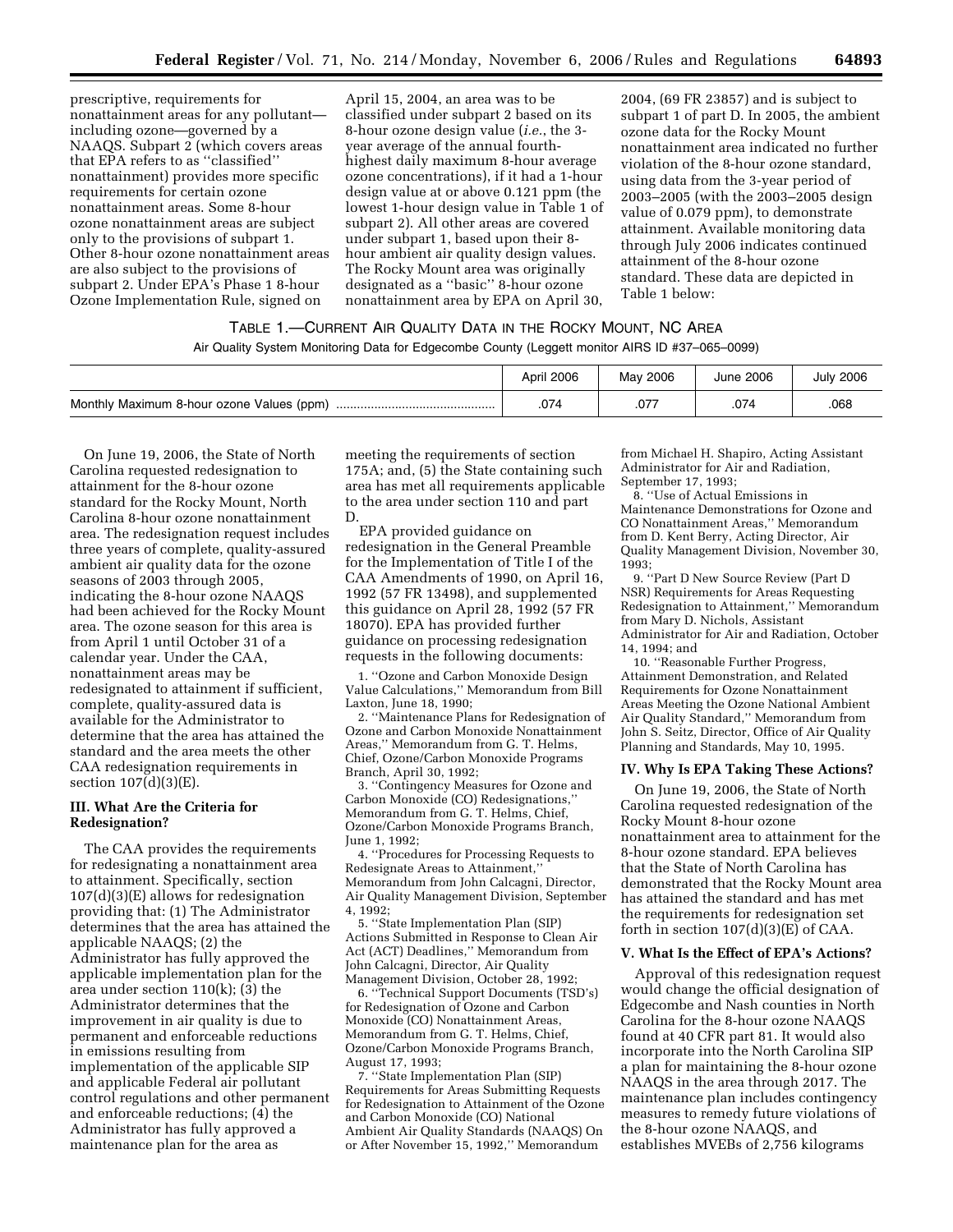prescriptive, requirements for nonattainment areas for any pollutant including ozone—governed by a NAAQS. Subpart 2 (which covers areas that EPA refers to as ''classified'' nonattainment) provides more specific requirements for certain ozone nonattainment areas. Some 8-hour ozone nonattainment areas are subject only to the provisions of subpart 1. Other 8-hour ozone nonattainment areas are also subject to the provisions of subpart 2. Under EPA's Phase 1 8-hour Ozone Implementation Rule, signed on

April 15, 2004, an area was to be classified under subpart 2 based on its 8-hour ozone design value (*i.e.*, the 3 year average of the annual fourthhighest daily maximum 8-hour average ozone concentrations), if it had a 1-hour design value at or above 0.121 ppm (the lowest 1-hour design value in Table 1 of subpart 2). All other areas are covered under subpart 1, based upon their 8 hour ambient air quality design values. The Rocky Mount area was originally designated as a ''basic'' 8-hour ozone nonattainment area by EPA on April 30,

2004, (69 FR 23857) and is subject to subpart 1 of part D. In 2005, the ambient ozone data for the Rocky Mount nonattainment area indicated no further violation of the 8-hour ozone standard, using data from the 3-year period of 2003–2005 (with the 2003–2005 design value of 0.079 ppm), to demonstrate attainment. Available monitoring data through July 2006 indicates continued attainment of the 8-hour ozone standard. These data are depicted in Table 1 below:

# TABLE 1.—CURRENT AIR QUALITY DATA IN THE ROCKY MOUNT, NC AREA

Air Quality System Monitoring Data for Edgecombe County (Leggett monitor AIRS ID #37–065–0099)

|                                           | April 2006 | May 2006 | June 2006 | <b>July 2006</b> |
|-------------------------------------------|------------|----------|-----------|------------------|
| Monthly Maximum 8-hour ozone Values (ppm) | .074       | .077     | .074      | .068             |

On June 19, 2006, the State of North Carolina requested redesignation to attainment for the 8-hour ozone standard for the Rocky Mount, North Carolina 8-hour ozone nonattainment area. The redesignation request includes three years of complete, quality-assured ambient air quality data for the ozone seasons of 2003 through 2005, indicating the 8-hour ozone NAAQS had been achieved for the Rocky Mount area. The ozone season for this area is from April 1 until October 31 of a calendar year. Under the CAA, nonattainment areas may be redesignated to attainment if sufficient, complete, quality-assured data is available for the Administrator to determine that the area has attained the standard and the area meets the other CAA redesignation requirements in section 107(d)(3)(E).

### **III. What Are the Criteria for Redesignation?**

The CAA provides the requirements for redesignating a nonattainment area to attainment. Specifically, section 107(d)(3)(E) allows for redesignation providing that: (1) The Administrator determines that the area has attained the applicable NAAQS; (2) the Administrator has fully approved the applicable implementation plan for the area under section 110(k); (3) the Administrator determines that the improvement in air quality is due to permanent and enforceable reductions in emissions resulting from implementation of the applicable SIP and applicable Federal air pollutant control regulations and other permanent and enforceable reductions; (4) the Administrator has fully approved a maintenance plan for the area as

meeting the requirements of section 175A; and, (5) the State containing such area has met all requirements applicable to the area under section 110 and part D.

EPA provided guidance on redesignation in the General Preamble for the Implementation of Title I of the CAA Amendments of 1990, on April 16, 1992 (57 FR 13498), and supplemented this guidance on April 28, 1992 (57 FR 18070). EPA has provided further guidance on processing redesignation requests in the following documents:

1. ''Ozone and Carbon Monoxide Design Value Calculations,'' Memorandum from Bill Laxton, June 18, 1990;

2. ''Maintenance Plans for Redesignation of Ozone and Carbon Monoxide Nonattainment Areas,'' Memorandum from G. T. Helms, Chief, Ozone/Carbon Monoxide Programs Branch, April 30, 1992;

3. ''Contingency Measures for Ozone and Carbon Monoxide (CO) Redesignations,'' Memorandum from G. T. Helms, Chief, Ozone/Carbon Monoxide Programs Branch, June 1, 1992;

4. ''Procedures for Processing Requests to Redesignate Areas to Attainment,'' Memorandum from John Calcagni, Director, Air Quality Management Division, September 4, 1992;

5. ''State Implementation Plan (SIP) Actions Submitted in Response to Clean Air Act (ACT) Deadlines,'' Memorandum from John Calcagni, Director, Air Quality Management Division, October 28, 1992;

6. ''Technical Support Documents (TSD's) for Redesignation of Ozone and Carbon Monoxide (CO) Nonattainment Areas, Memorandum from G. T. Helms, Chief, Ozone/Carbon Monoxide Programs Branch, August 17, 1993;

7. ''State Implementation Plan (SIP) Requirements for Areas Submitting Requests for Redesignation to Attainment of the Ozone and Carbon Monoxide (CO) National Ambient Air Quality Standards (NAAQS) On or After November 15, 1992,'' Memorandum

from Michael H. Shapiro, Acting Assistant Administrator for Air and Radiation, September 17, 1993;

8. ''Use of Actual Emissions in Maintenance Demonstrations for Ozone and CO Nonattainment Areas,'' Memorandum from D. Kent Berry, Acting Director, Air Quality Management Division, November 30, 1993;

9. ''Part D New Source Review (Part D NSR) Requirements for Areas Requesting Redesignation to Attainment,'' Memorandum from Mary D. Nichols, Assistant Administrator for Air and Radiation, October 14, 1994; and

10. ''Reasonable Further Progress, Attainment Demonstration, and Related Requirements for Ozone Nonattainment Areas Meeting the Ozone National Ambient Air Quality Standard,'' Memorandum from John S. Seitz, Director, Office of Air Quality Planning and Standards, May 10, 1995.

### **IV. Why Is EPA Taking These Actions?**

On June 19, 2006, the State of North Carolina requested redesignation of the Rocky Mount 8-hour ozone nonattainment area to attainment for the 8-hour ozone standard. EPA believes that the State of North Carolina has demonstrated that the Rocky Mount area has attained the standard and has met the requirements for redesignation set forth in section  $107(d)(3)(E)$  of CAA.

### **V. What Is the Effect of EPA's Actions?**

Approval of this redesignation request would change the official designation of Edgecombe and Nash counties in North Carolina for the 8-hour ozone NAAQS found at 40 CFR part 81. It would also incorporate into the North Carolina SIP a plan for maintaining the 8-hour ozone NAAQS in the area through 2017. The maintenance plan includes contingency measures to remedy future violations of the 8-hour ozone NAAQS, and establishes MVEBs of 2,756 kilograms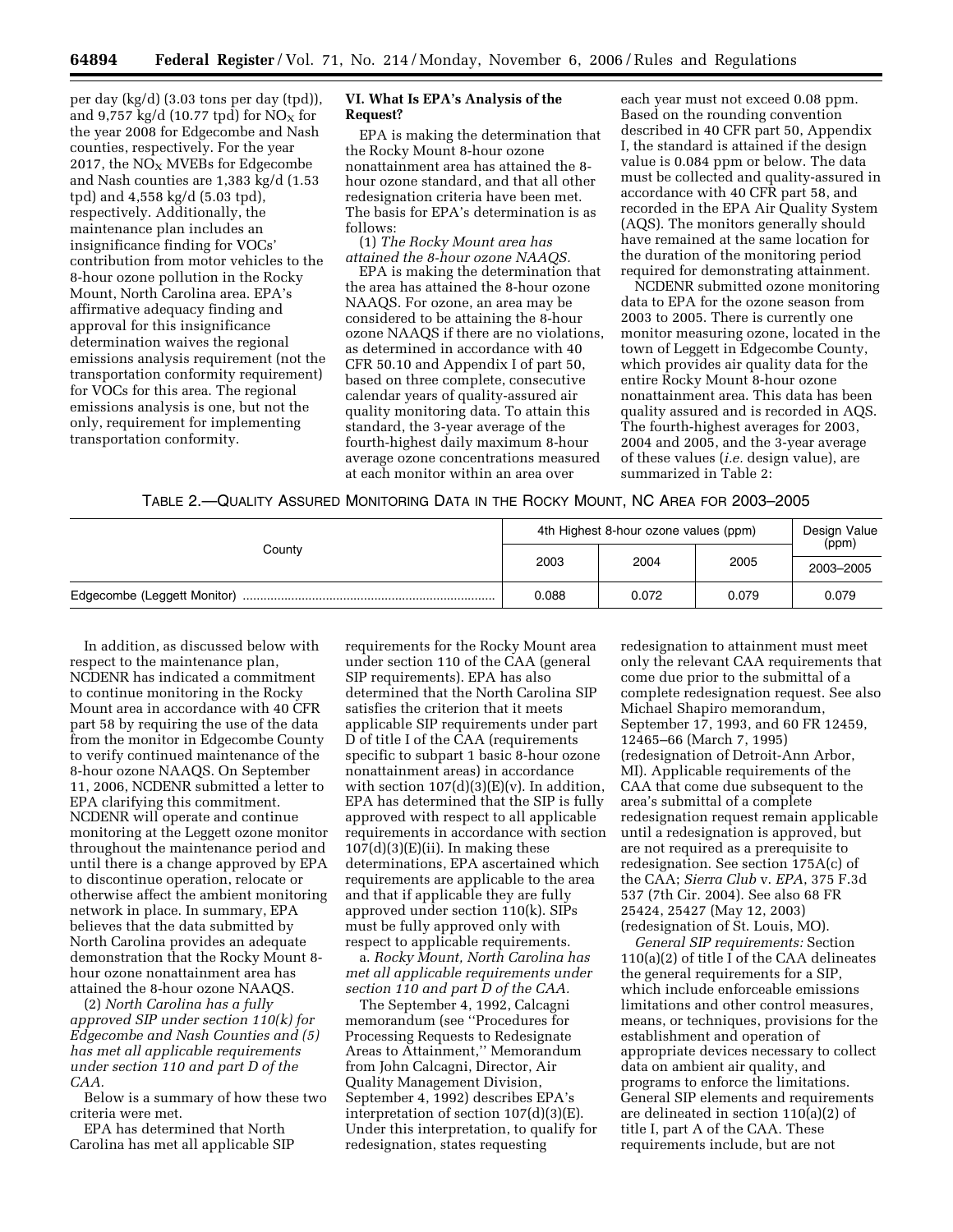per day (kg/d) (3.03 tons per day (tpd)), and 9,757 kg/d (10.77 tpd) for  $NO<sub>x</sub>$  for the year 2008 for Edgecombe and Nash counties, respectively. For the year 2017, the  $NO<sub>X</sub>$  MVEBs for Edgecombe and Nash counties are 1,383 kg/d (1.53 tpd) and 4,558 kg/d (5.03 tpd), respectively. Additionally, the maintenance plan includes an insignificance finding for VOCs' contribution from motor vehicles to the 8-hour ozone pollution in the Rocky Mount, North Carolina area. EPA's affirmative adequacy finding and approval for this insignificance determination waives the regional emissions analysis requirement (not the transportation conformity requirement) for VOCs for this area. The regional emissions analysis is one, but not the only, requirement for implementing transportation conformity.

## **VI. What Is EPA's Analysis of the Request?**

EPA is making the determination that the Rocky Mount 8-hour ozone nonattainment area has attained the 8 hour ozone standard, and that all other redesignation criteria have been met. The basis for EPA's determination is as follows:

(1) *The Rocky Mount area has attained the 8-hour ozone NAAQS.* 

EPA is making the determination that the area has attained the 8-hour ozone NAAQS. For ozone, an area may be considered to be attaining the 8-hour ozone NAAQS if there are no violations, as determined in accordance with 40 CFR 50.10 and Appendix I of part 50, based on three complete, consecutive calendar years of quality-assured air quality monitoring data. To attain this standard, the 3-year average of the fourth-highest daily maximum 8-hour average ozone concentrations measured at each monitor within an area over

each year must not exceed 0.08 ppm. Based on the rounding convention described in 40 CFR part 50, Appendix I, the standard is attained if the design value is 0.084 ppm or below. The data must be collected and quality-assured in accordance with 40 CFR part 58, and recorded in the EPA Air Quality System (AQS). The monitors generally should have remained at the same location for the duration of the monitoring period required for demonstrating attainment.

NCDENR submitted ozone monitoring data to EPA for the ozone season from 2003 to 2005. There is currently one monitor measuring ozone, located in the town of Leggett in Edgecombe County, which provides air quality data for the entire Rocky Mount 8-hour ozone nonattainment area. This data has been quality assured and is recorded in AQS. The fourth-highest averages for 2003, 2004 and 2005, and the 3-year average of these values (*i.e.* design value), are summarized in Table 2:

|  |  |  | Table 2.—Quality Assured Monitoring Data in the Rocky Mount, NC Area for 2003—2005 |
|--|--|--|------------------------------------------------------------------------------------|
|--|--|--|------------------------------------------------------------------------------------|

| County | 4th Highest 8-hour ozone values (ppm) |       |               | Design Value<br>(ppm) |
|--------|---------------------------------------|-------|---------------|-----------------------|
|        | 2003                                  | 2004  | 2005<br>0.079 | 2003-2005             |
|        | 0.088                                 | 0.072 |               | 0.079                 |

In addition, as discussed below with respect to the maintenance plan, NCDENR has indicated a commitment to continue monitoring in the Rocky Mount area in accordance with 40 CFR part 58 by requiring the use of the data from the monitor in Edgecombe County to verify continued maintenance of the 8-hour ozone NAAQS. On September 11, 2006, NCDENR submitted a letter to EPA clarifying this commitment. NCDENR will operate and continue monitoring at the Leggett ozone monitor throughout the maintenance period and until there is a change approved by EPA to discontinue operation, relocate or otherwise affect the ambient monitoring network in place. In summary, EPA believes that the data submitted by North Carolina provides an adequate demonstration that the Rocky Mount 8 hour ozone nonattainment area has attained the 8-hour ozone NAAQS.

(2) *North Carolina has a fully approved SIP under section 110(k) for Edgecombe and Nash Counties and (5) has met all applicable requirements under section 110 and part D of the CAA.* 

Below is a summary of how these two criteria were met.

EPA has determined that North Carolina has met all applicable SIP requirements for the Rocky Mount area under section 110 of the CAA (general SIP requirements). EPA has also determined that the North Carolina SIP satisfies the criterion that it meets applicable SIP requirements under part D of title I of the CAA (requirements specific to subpart 1 basic 8-hour ozone nonattainment areas) in accordance with section  $107(d)(3)(E)(v)$ . In addition, EPA has determined that the SIP is fully approved with respect to all applicable requirements in accordance with section  $107(d)(3)(E)(ii)$ . In making these determinations, EPA ascertained which requirements are applicable to the area and that if applicable they are fully approved under section 110(k). SIPs must be fully approved only with respect to applicable requirements.

a. *Rocky Mount, North Carolina has met all applicable requirements under section 110 and part D of the CAA.* 

The September 4, 1992, Calcagni memorandum (see ''Procedures for Processing Requests to Redesignate Areas to Attainment,'' Memorandum from John Calcagni, Director, Air Quality Management Division, September 4, 1992) describes EPA's interpretation of section 107(d)(3)(E). Under this interpretation, to qualify for redesignation, states requesting

redesignation to attainment must meet only the relevant CAA requirements that come due prior to the submittal of a complete redesignation request. See also Michael Shapiro memorandum, September 17, 1993, and 60 FR 12459, 12465–66 (March 7, 1995) (redesignation of Detroit-Ann Arbor, MI). Applicable requirements of the CAA that come due subsequent to the area's submittal of a complete redesignation request remain applicable until a redesignation is approved, but are not required as a prerequisite to redesignation. See section 175A(c) of the CAA; *Sierra Club* v. *EPA*, 375 F.3d 537 (7th Cir. 2004). See also 68 FR 25424, 25427 (May 12, 2003) (redesignation of St. Louis, MO).

*General SIP requirements:* Section 110(a)(2) of title I of the CAA delineates the general requirements for a SIP, which include enforceable emissions limitations and other control measures, means, or techniques, provisions for the establishment and operation of appropriate devices necessary to collect data on ambient air quality, and programs to enforce the limitations. General SIP elements and requirements are delineated in section 110(a)(2) of title I, part A of the CAA. These requirements include, but are not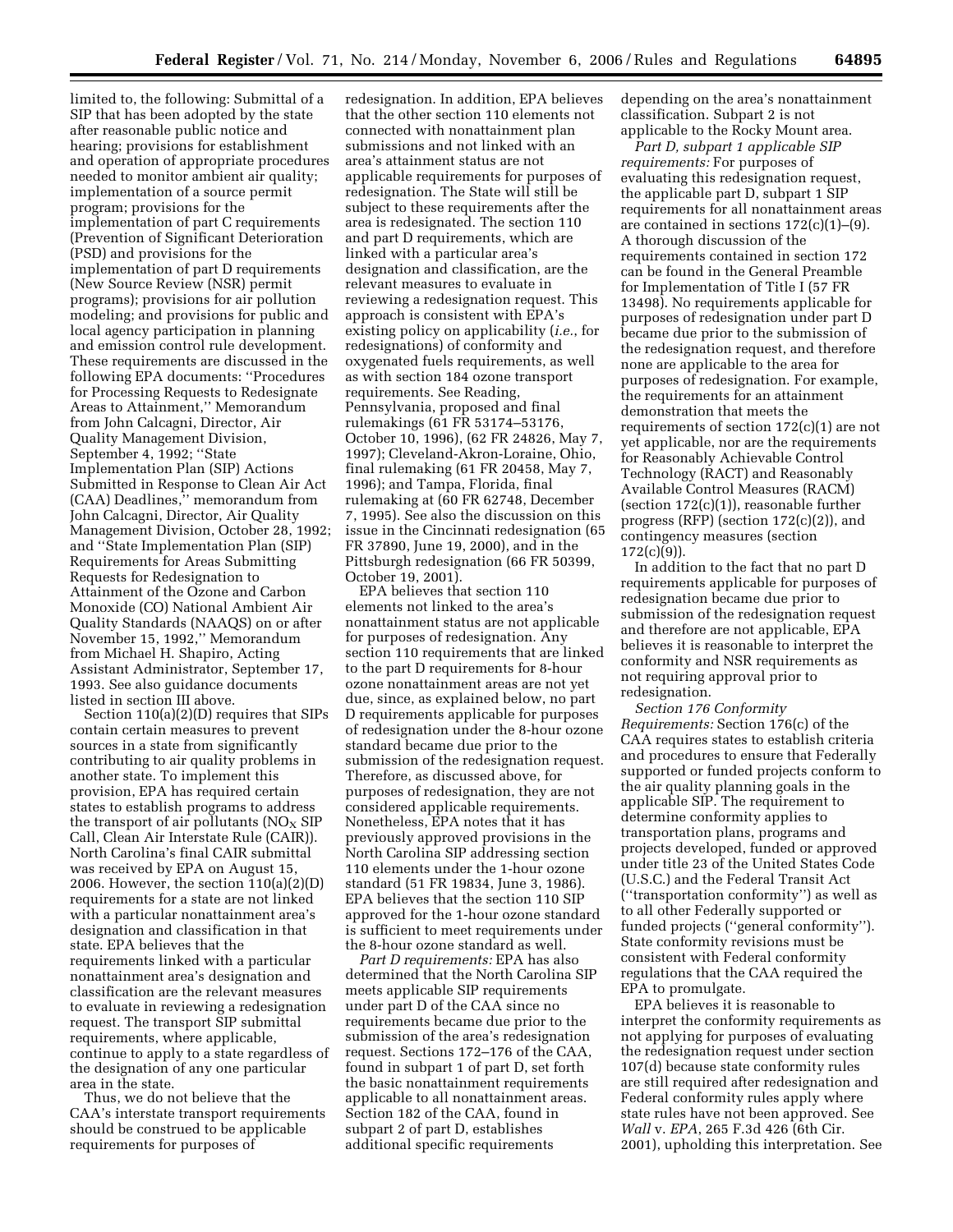limited to, the following: Submittal of a SIP that has been adopted by the state after reasonable public notice and hearing; provisions for establishment and operation of appropriate procedures needed to monitor ambient air quality; implementation of a source permit program; provisions for the implementation of part C requirements (Prevention of Significant Deterioration (PSD) and provisions for the implementation of part D requirements (New Source Review (NSR) permit programs); provisions for air pollution modeling; and provisions for public and local agency participation in planning and emission control rule development. These requirements are discussed in the following EPA documents: ''Procedures for Processing Requests to Redesignate Areas to Attainment,'' Memorandum from John Calcagni, Director, Air Quality Management Division, September 4, 1992; ''State Implementation Plan (SIP) Actions Submitted in Response to Clean Air Act (CAA) Deadlines,'' memorandum from John Calcagni, Director, Air Quality Management Division, October 28, 1992; and ''State Implementation Plan (SIP) Requirements for Areas Submitting Requests for Redesignation to Attainment of the Ozone and Carbon Monoxide (CO) National Ambient Air Quality Standards (NAAQS) on or after November 15, 1992,'' Memorandum from Michael H. Shapiro, Acting Assistant Administrator, September 17, 1993. See also guidance documents listed in section III above.

Section 110(a)(2)(D) requires that SIPs contain certain measures to prevent sources in a state from significantly contributing to air quality problems in another state. To implement this provision, EPA has required certain states to establish programs to address the transport of air pollutants ( $N_{\rm X}$  SIP Call, Clean Air Interstate Rule (CAIR)). North Carolina's final CAIR submittal was received by EPA on August 15, 2006. However, the section  $110(a)(2)(D)$ requirements for a state are not linked with a particular nonattainment area's designation and classification in that state. EPA believes that the requirements linked with a particular nonattainment area's designation and classification are the relevant measures to evaluate in reviewing a redesignation request. The transport SIP submittal requirements, where applicable, continue to apply to a state regardless of the designation of any one particular area in the state.

Thus, we do not believe that the CAA's interstate transport requirements should be construed to be applicable requirements for purposes of

redesignation. In addition, EPA believes that the other section 110 elements not connected with nonattainment plan submissions and not linked with an area's attainment status are not applicable requirements for purposes of redesignation. The State will still be subject to these requirements after the area is redesignated. The section 110 and part D requirements, which are linked with a particular area's designation and classification, are the relevant measures to evaluate in reviewing a redesignation request. This approach is consistent with EPA's existing policy on applicability (*i.e.*, for redesignations) of conformity and oxygenated fuels requirements, as well as with section 184 ozone transport requirements. See Reading, Pennsylvania, proposed and final rulemakings (61 FR 53174–53176, October 10, 1996), (62 FR 24826, May 7, 1997); Cleveland-Akron-Loraine, Ohio, final rulemaking (61 FR 20458, May 7, 1996); and Tampa, Florida, final rulemaking at (60 FR 62748, December 7, 1995). See also the discussion on this issue in the Cincinnati redesignation (65 FR 37890, June 19, 2000), and in the Pittsburgh redesignation (66 FR 50399, October 19, 2001).

EPA believes that section 110 elements not linked to the area's nonattainment status are not applicable for purposes of redesignation. Any section 110 requirements that are linked to the part D requirements for 8-hour ozone nonattainment areas are not yet due, since, as explained below, no part D requirements applicable for purposes of redesignation under the 8-hour ozone standard became due prior to the submission of the redesignation request. Therefore, as discussed above, for purposes of redesignation, they are not considered applicable requirements. Nonetheless, EPA notes that it has previously approved provisions in the North Carolina SIP addressing section 110 elements under the 1-hour ozone standard (51 FR 19834, June 3, 1986). EPA believes that the section 110 SIP approved for the 1-hour ozone standard is sufficient to meet requirements under the 8-hour ozone standard as well.

*Part D requirements:* EPA has also determined that the North Carolina SIP meets applicable SIP requirements under part D of the CAA since no requirements became due prior to the submission of the area's redesignation request. Sections 172–176 of the CAA, found in subpart 1 of part D, set forth the basic nonattainment requirements applicable to all nonattainment areas. Section 182 of the CAA, found in subpart 2 of part D, establishes additional specific requirements

depending on the area's nonattainment classification. Subpart 2 is not applicable to the Rocky Mount area.

*Part D, subpart 1 applicable SIP requirements:* For purposes of evaluating this redesignation request, the applicable part D, subpart 1 SIP requirements for all nonattainment areas are contained in sections  $172(c)(1)$ –(9). A thorough discussion of the requirements contained in section 172 can be found in the General Preamble for Implementation of Title I (57 FR 13498). No requirements applicable for purposes of redesignation under part D became due prior to the submission of the redesignation request, and therefore none are applicable to the area for purposes of redesignation. For example, the requirements for an attainment demonstration that meets the requirements of section 172(c)(1) are not yet applicable, nor are the requirements for Reasonably Achievable Control Technology (RACT) and Reasonably Available Control Measures (RACM) (section  $172(c)(1)$ ), reasonable further progress (RFP) (section 172(c)(2)), and contingency measures (section 172(c)(9)).

In addition to the fact that no part D requirements applicable for purposes of redesignation became due prior to submission of the redesignation request and therefore are not applicable, EPA believes it is reasonable to interpret the conformity and NSR requirements as not requiring approval prior to redesignation.

*Section 176 Conformity Requirements:* Section 176(c) of the CAA requires states to establish criteria and procedures to ensure that Federally supported or funded projects conform to the air quality planning goals in the applicable SIP. The requirement to determine conformity applies to transportation plans, programs and projects developed, funded or approved under title 23 of the United States Code (U.S.C.) and the Federal Transit Act (''transportation conformity'') as well as to all other Federally supported or funded projects (''general conformity''). State conformity revisions must be consistent with Federal conformity regulations that the CAA required the EPA to promulgate.

EPA believes it is reasonable to interpret the conformity requirements as not applying for purposes of evaluating the redesignation request under section 107(d) because state conformity rules are still required after redesignation and Federal conformity rules apply where state rules have not been approved. See *Wall* v. *EPA*, 265 F.3d 426 (6th Cir. 2001), upholding this interpretation. See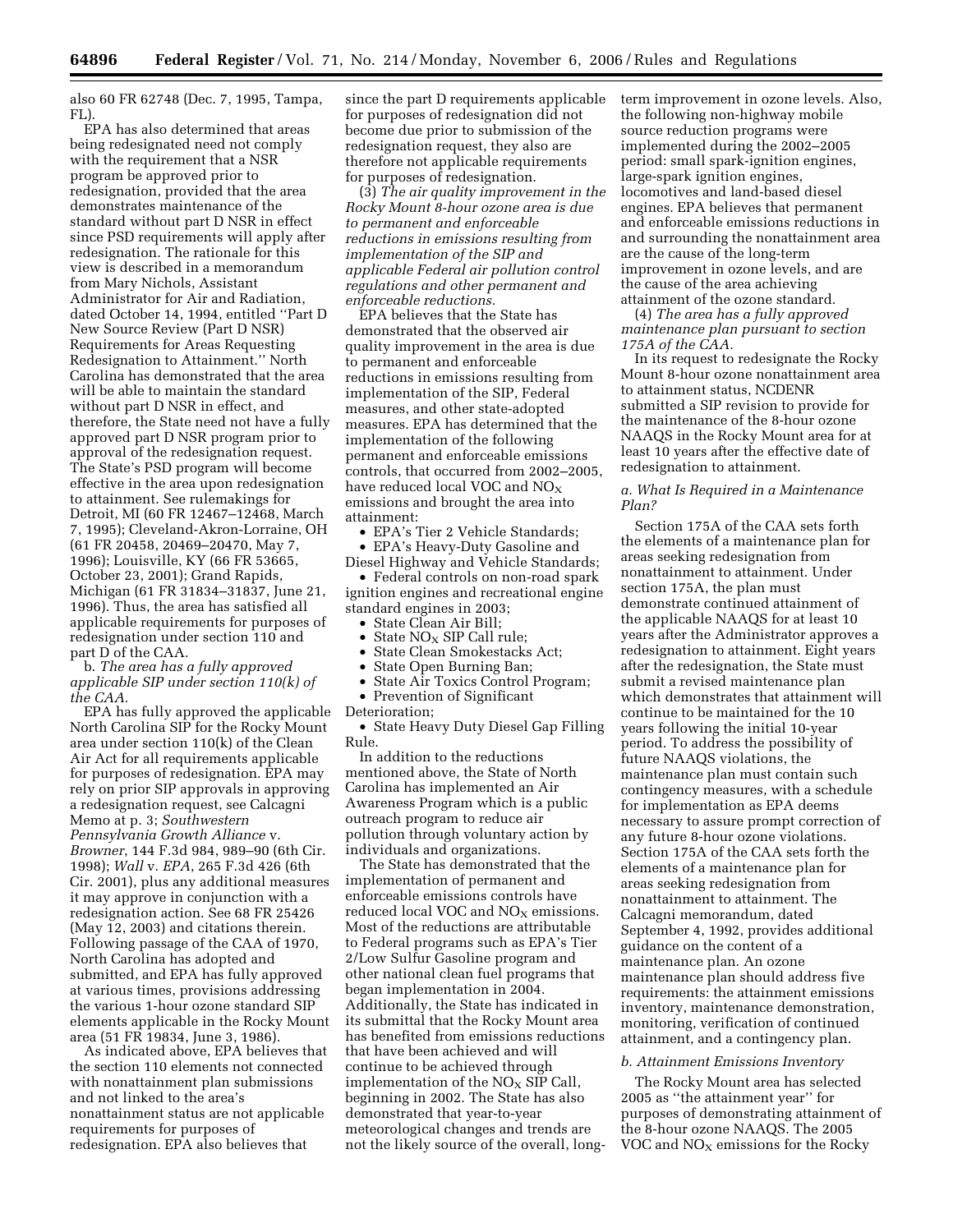also 60 FR 62748 (Dec. 7, 1995, Tampa, FL)

EPA has also determined that areas being redesignated need not comply with the requirement that a NSR program be approved prior to redesignation, provided that the area demonstrates maintenance of the standard without part D NSR in effect since PSD requirements will apply after redesignation. The rationale for this view is described in a memorandum from Mary Nichols, Assistant Administrator for Air and Radiation, dated October 14, 1994, entitled ''Part D New Source Review (Part D NSR) Requirements for Areas Requesting Redesignation to Attainment.'' North Carolina has demonstrated that the area will be able to maintain the standard without part D NSR in effect, and therefore, the State need not have a fully approved part D NSR program prior to approval of the redesignation request. The State's PSD program will become effective in the area upon redesignation to attainment. See rulemakings for Detroit, MI (60 FR 12467–12468, March 7, 1995); Cleveland-Akron-Lorraine, OH (61 FR 20458, 20469–20470, May 7, 1996); Louisville, KY (66 FR 53665, October 23, 2001); Grand Rapids, Michigan (61 FR 31834–31837, June 21, 1996). Thus, the area has satisfied all applicable requirements for purposes of redesignation under section 110 and part D of the CAA.

b. *The area has a fully approved applicable SIP under section 110(k) of the CAA.* 

EPA has fully approved the applicable North Carolina SIP for the Rocky Mount area under section 110(k) of the Clean Air Act for all requirements applicable for purposes of redesignation. EPA may rely on prior SIP approvals in approving a redesignation request, see Calcagni Memo at p. 3; *Southwestern Pennsylvania Growth Alliance* v. *Browner*, 144 F.3d 984, 989–90 (6th Cir. 1998); *Wall* v. *EPA*, 265 F.3d 426 (6th Cir. 2001), plus any additional measures it may approve in conjunction with a redesignation action. See 68 FR 25426 (May 12, 2003) and citations therein. Following passage of the CAA of 1970, North Carolina has adopted and submitted, and EPA has fully approved at various times, provisions addressing the various 1-hour ozone standard SIP elements applicable in the Rocky Mount area (51 FR 19834, June 3, 1986).

As indicated above, EPA believes that the section 110 elements not connected with nonattainment plan submissions and not linked to the area's nonattainment status are not applicable requirements for purposes of redesignation. EPA also believes that

since the part D requirements applicable for purposes of redesignation did not become due prior to submission of the redesignation request, they also are therefore not applicable requirements for purposes of redesignation.

(3) *The air quality improvement in the Rocky Mount 8-hour ozone area is due to permanent and enforceable reductions in emissions resulting from implementation of the SIP and applicable Federal air pollution control regulations and other permanent and enforceable reductions.* 

EPA believes that the State has demonstrated that the observed air quality improvement in the area is due to permanent and enforceable reductions in emissions resulting from implementation of the SIP, Federal measures, and other state-adopted measures. EPA has determined that the implementation of the following permanent and enforceable emissions controls, that occurred from 2002–2005, have reduced local VOC and NO<sub>X</sub> emissions and brought the area into attainment:

• EPA's Tier 2 Vehicle Standards;

• EPA's Heavy-Duty Gasoline and Diesel Highway and Vehicle Standards; • Federal controls on non-road spark

ignition engines and recreational engine standard engines in 2003;

- State Clean Air Bill;
- State  $NO_X$  SIP Call rule;<br>• State Clean Smokestacks
- State Clean Smokestacks Act;
- State Open Burning Ban;
- State Air Toxics Control Program;
- Prevention of Significant
- Deterioration;

• State Heavy Duty Diesel Gap Filling Rule.

In addition to the reductions mentioned above, the State of North Carolina has implemented an Air Awareness Program which is a public outreach program to reduce air pollution through voluntary action by individuals and organizations.

The State has demonstrated that the implementation of permanent and enforceable emissions controls have reduced local VOC and  $NO<sub>X</sub>$  emissions. Most of the reductions are attributable to Federal programs such as EPA's Tier 2/Low Sulfur Gasoline program and other national clean fuel programs that began implementation in 2004. Additionally, the State has indicated in its submittal that the Rocky Mount area has benefited from emissions reductions that have been achieved and will continue to be achieved through implementation of the  $NO<sub>x</sub>$  SIP Call, beginning in 2002. The State has also demonstrated that year-to-year meteorological changes and trends are not the likely source of the overall, longterm improvement in ozone levels. Also, the following non-highway mobile source reduction programs were implemented during the 2002–2005 period: small spark-ignition engines, large-spark ignition engines, locomotives and land-based diesel engines. EPA believes that permanent and enforceable emissions reductions in and surrounding the nonattainment area are the cause of the long-term improvement in ozone levels, and are the cause of the area achieving attainment of the ozone standard.

(4) *The area has a fully approved maintenance plan pursuant to section 175A of the CAA.* 

In its request to redesignate the Rocky Mount 8-hour ozone nonattainment area to attainment status, NCDENR submitted a SIP revision to provide for the maintenance of the 8-hour ozone NAAQS in the Rocky Mount area for at least 10 years after the effective date of redesignation to attainment.

### *a. What Is Required in a Maintenance Plan?*

Section 175A of the CAA sets forth the elements of a maintenance plan for areas seeking redesignation from nonattainment to attainment. Under section 175A, the plan must demonstrate continued attainment of the applicable NAAQS for at least 10 years after the Administrator approves a redesignation to attainment. Eight years after the redesignation, the State must submit a revised maintenance plan which demonstrates that attainment will continue to be maintained for the 10 years following the initial 10-year period. To address the possibility of future NAAQS violations, the maintenance plan must contain such contingency measures, with a schedule for implementation as EPA deems necessary to assure prompt correction of any future 8-hour ozone violations. Section 175A of the CAA sets forth the elements of a maintenance plan for areas seeking redesignation from nonattainment to attainment. The Calcagni memorandum, dated September 4, 1992, provides additional guidance on the content of a maintenance plan. An ozone maintenance plan should address five requirements: the attainment emissions inventory, maintenance demonstration, monitoring, verification of continued attainment, and a contingency plan.

#### *b. Attainment Emissions Inventory*

The Rocky Mount area has selected 2005 as ''the attainment year'' for purposes of demonstrating attainment of the 8-hour ozone NAAQS. The 2005 VOC and  $NO<sub>X</sub>$  emissions for the Rocky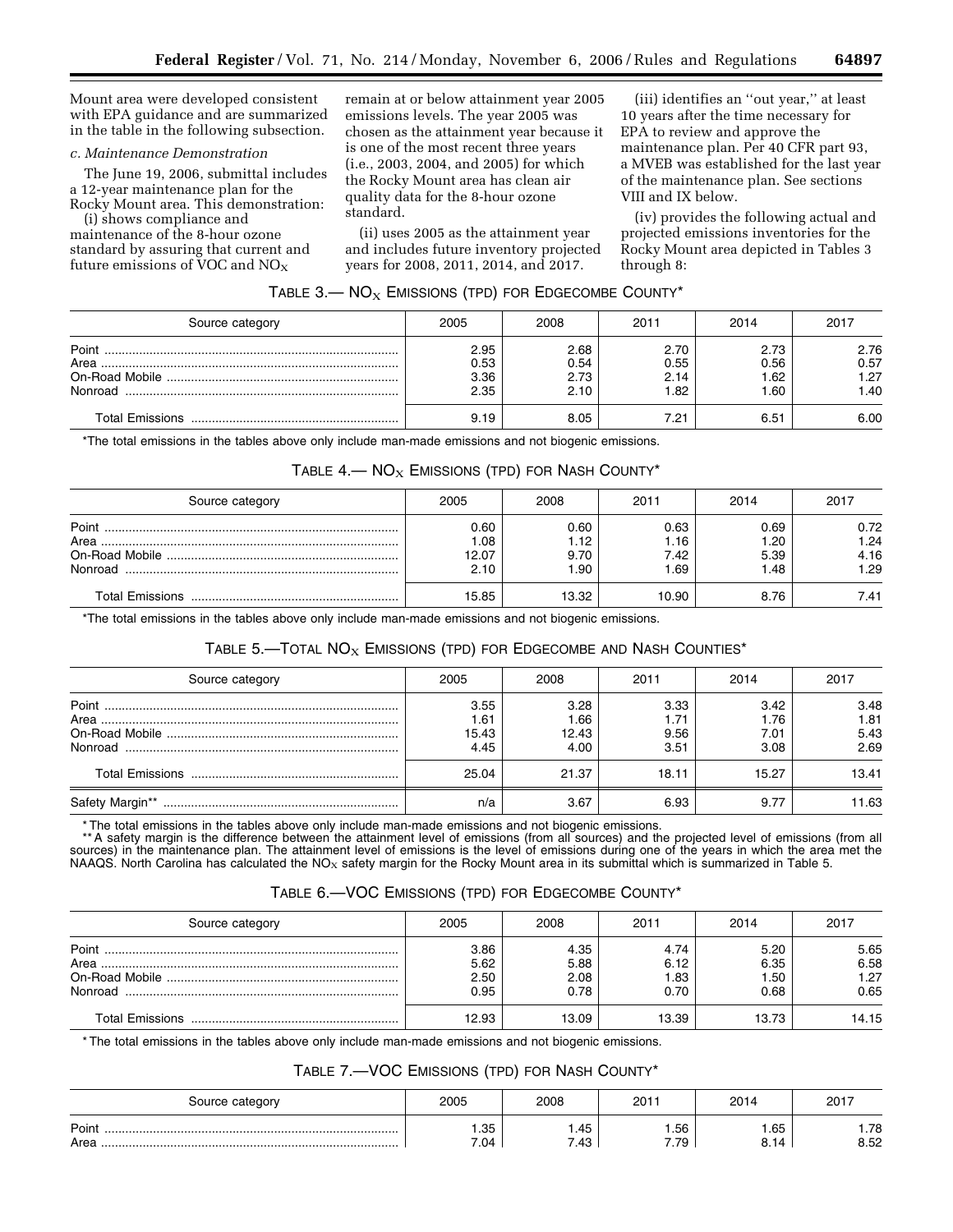Mount area were developed consistent with EPA guidance and are summarized in the table in the following subsection.

# *c. Maintenance Demonstration*

The June 19, 2006, submittal includes a 12-year maintenance plan for the Rocky Mount area. This demonstration:

(i) shows compliance and maintenance of the 8-hour ozone standard by assuring that current and future emissions of  $VOC$  and  $NO<sub>X</sub>$ 

remain at or below attainment year 2005 emissions levels. The year 2005 was chosen as the attainment year because it is one of the most recent three years (i.e., 2003, 2004, and 2005) for which the Rocky Mount area has clean air quality data for the 8-hour ozone standard.

(ii) uses 2005 as the attainment year and includes future inventory projected years for 2008, 2011, 2014, and 2017.

(iii) identifies an ''out year,'' at least 10 years after the time necessary for EPA to review and approve the maintenance plan. Per 40 CFR part 93, a MVEB was established for the last year of the maintenance plan. See sections VIII and IX below.

(iv) provides the following actual and projected emissions inventories for the Rocky Mount area depicted in Tables 3 through 8:

| Source category | 2005 | 2008 | 2011 | 2014 | 2017 |
|-----------------|------|------|------|------|------|
|                 | 2.95 | 2.68 | 2.70 | 2.73 | 2.76 |
|                 | 0.53 | 0.54 | 0.55 | 0.56 | 0.57 |
|                 | 3.36 | 2.73 | 2.14 | 1.62 | 1.27 |
| Nonroad         | 2.35 | 2.10 | 1.82 | 1.60 | 1.40 |
|                 | 9.19 | 8.05 | 7.21 | 6.51 | 6.00 |

# TABLE  $3$  - NO<sub>X</sub> EMISSIONS (TPD) FOR EDGECOMBE COUNTY\*

\*The total emissions in the tables above only include man-made emissions and not biogenic emissions.

# TABLE  $4 - NO_X$  EMISSIONS (TPD) FOR NASH COUNTY\*

| Source category          | 2005                         | 2008                         | 2011                         | 2014                         | 2017                         |
|--------------------------|------------------------------|------------------------------|------------------------------|------------------------------|------------------------------|
| Point<br>Area<br>Nonroad | 0.60<br>.08<br>12.07<br>2.10 | 0.60<br>l.12<br>9.70<br>∣.90 | 0.63<br>1.16<br>7.42<br>1.69 | 0.69<br>1.20<br>5.39<br>1.48 | 0.72<br>1.24<br>4.16<br>1.29 |
|                          | 15.85                        | 13.32                        | 10.90                        | 8.76                         | 7.41                         |

\*The total emissions in the tables above only include man-made emissions and not biogenic emissions.

# TABLE 5. $-$ TOTAL NO<sub>X</sub> EMISSIONS (TPD) FOR EDGECOMBE AND NASH COUNTIES\*

| Source category | 2005                          | 2008                          | 2011                         | 2014                         | 2017                         |
|-----------------|-------------------------------|-------------------------------|------------------------------|------------------------------|------------------------------|
|                 | 3.55<br>1.61<br>15.43<br>4.45 | 3.28<br>1.66<br>12.43<br>4.00 | 3.33<br>1.71<br>9.56<br>3.51 | 3.42<br>1.76<br>7.01<br>3.08 | 3.48<br>1.81<br>5.43<br>2.69 |
|                 | 25.04                         | 21.37                         | 18.11                        | 15.27                        | 13.41                        |
| Safety Margin** | n/a                           | 3.67                          | 6.93                         | 9.77                         | 11.63                        |

\* The total emissions in the tables above only include man-made emissions and not biogenic emissions.<br>\*\* A safety margin is the difference between the attainment level of emissions (from all sources) and the projected leve sources) in the maintenance plan. The attainment level of emissions is the level of emissions during one of the years in which the area met the<br>NAAQS. North Carolina has calculated the NO<sub>x</sub> safety margin for the Rocky Mou

# TABLE 6.—VOC EMISSIONS (TPD) FOR EDGECOMBE COUNTY\*

| Source category          | 2005                         | 2008                         | 2011                        | 2014                         | 2017                         |
|--------------------------|------------------------------|------------------------------|-----------------------------|------------------------------|------------------------------|
| Point<br>Area<br>Nonroad | 3.86<br>5.62<br>2.50<br>0.95 | 4.35<br>5.88<br>2.08<br>0.78 | 4.74<br>6.12<br>.83<br>0.70 | 5.20<br>6.35<br>1.50<br>0.68 | 5.65<br>6.58<br>1.27<br>0.65 |
|                          | 12.93                        | 13.09                        | 13.39                       | 13.73                        | 14.15                        |

\* The total emissions in the tables above only include man-made emissions and not biogenic emissions.

### TABLE 7.—VOC EMISSIONS (TPD) FOR NASH COUNTY\*

| Source category | 2005        | 2008         | 2011          | 2014                 | 2017         |
|-----------------|-------------|--------------|---------------|----------------------|--------------|
| Point<br>Area   | .35<br>7.04 | 1.45<br>7.43 | . .56<br>7.79 | I.65<br>8 14<br>ο. ι | 78.،<br>8.52 |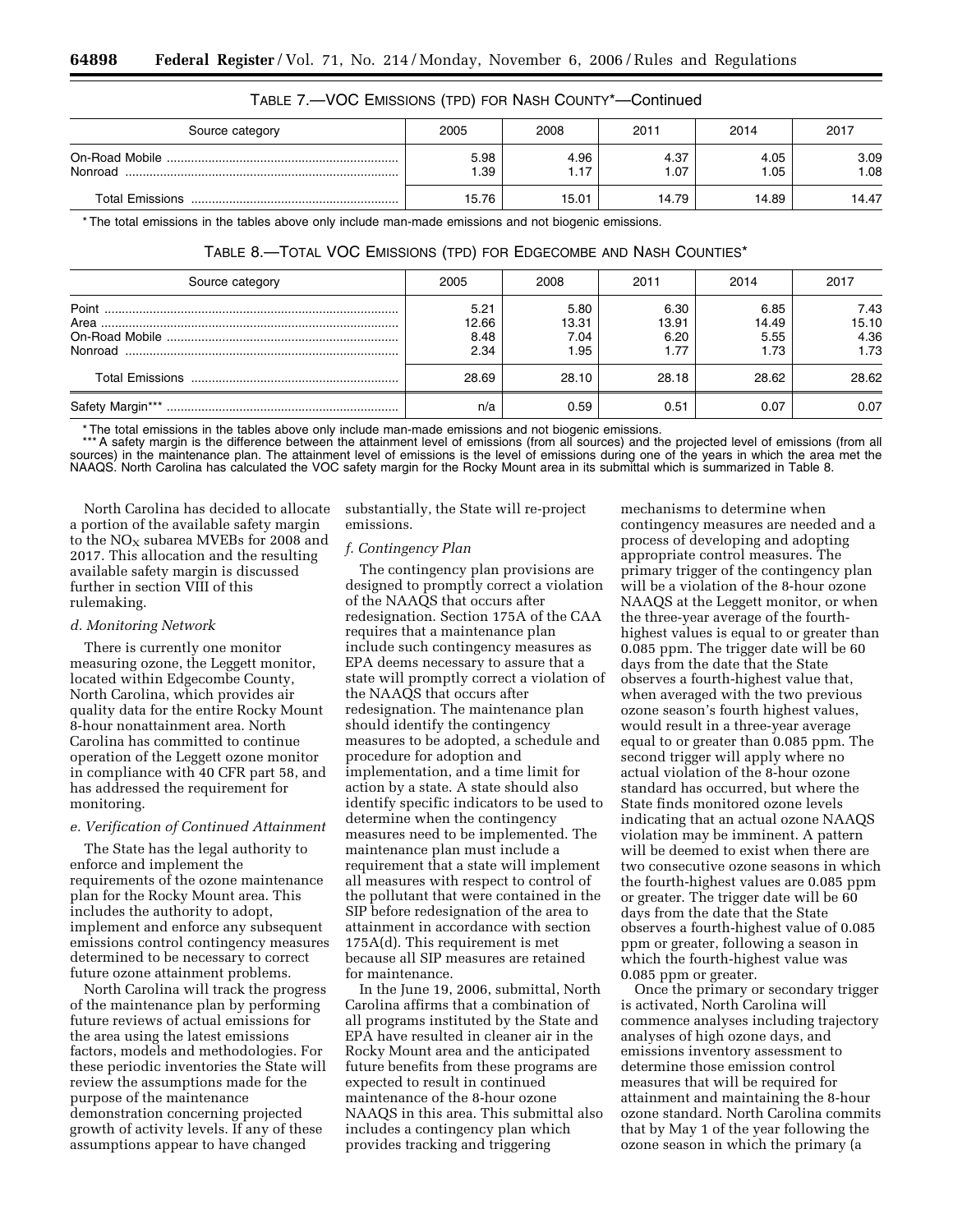| Source category | 2005        | 2008         | 2011         | 2014         | 2017         |
|-----------------|-------------|--------------|--------------|--------------|--------------|
| Nonroad         | 5.98<br>.39 | 4.96<br>1.17 | 4.37<br>1.07 | 4.05<br>1.05 | 3.09<br>1.08 |
|                 | 15.76       | 15.01        | 14.79        | 14.89        | 14.47        |

# TABLE 7.—VOC EMISSIONS (TPD) FOR NASH COUNTY\*—Continued

\* The total emissions in the tables above only include man-made emissions and not biogenic emissions.

| Source category  | 2005                          | 2008                          | 2011                          | 2014                          | 2017                          |
|------------------|-------------------------------|-------------------------------|-------------------------------|-------------------------------|-------------------------------|
| Point            | 5.21<br>12.66<br>8.48<br>2.34 | 5.80<br>13.31<br>7.04<br>1.95 | 6.30<br>13.91<br>6.20<br>1.77 | 6.85<br>14.49<br>5.55<br>1.73 | 7.43<br>15.10<br>4.36<br>1.73 |
|                  | 28.69                         | 28.10                         | 28.18                         | 28.62                         | 28.62                         |
| Safety Margin*** | n/a                           | 0.59                          | 0.51                          | 0.07                          | 0.07                          |

# TABLE 8.—TOTAL VOC EMISSIONS (TPD) FOR EDGECOMBE AND NASH COUNTIES\*

\* The total emissions in the tables above only include man-made emissions and not biogenic emissions.

\*\*\* A safety margin is the difference between the attainment level of emissions (from all sources) and the projected level of emissions (from all sources) in the maintenance plan. The attainment level of emissions is the level of emissions during one of the years in which the area met the NAAQS. North Carolina has calculated the VOC safety margin for the Rocky Mount area in its submittal which is summarized in Table 8.

North Carolina has decided to allocate a portion of the available safety margin to the  $NO<sub>X</sub>$  subarea MVEBs for 2008 and 2017. This allocation and the resulting available safety margin is discussed further in section VIII of this rulemaking.

### *d. Monitoring Network*

There is currently one monitor measuring ozone, the Leggett monitor, located within Edgecombe County, North Carolina, which provides air quality data for the entire Rocky Mount 8-hour nonattainment area. North Carolina has committed to continue operation of the Leggett ozone monitor in compliance with 40 CFR part 58, and has addressed the requirement for monitoring.

### *e. Verification of Continued Attainment*

The State has the legal authority to enforce and implement the requirements of the ozone maintenance plan for the Rocky Mount area. This includes the authority to adopt, implement and enforce any subsequent emissions control contingency measures determined to be necessary to correct future ozone attainment problems.

North Carolina will track the progress of the maintenance plan by performing future reviews of actual emissions for the area using the latest emissions factors, models and methodologies. For these periodic inventories the State will review the assumptions made for the purpose of the maintenance demonstration concerning projected growth of activity levels. If any of these assumptions appear to have changed

substantially, the State will re-project emissions.

### *f. Contingency Plan*

The contingency plan provisions are designed to promptly correct a violation of the NAAQS that occurs after redesignation. Section 175A of the CAA requires that a maintenance plan include such contingency measures as EPA deems necessary to assure that a state will promptly correct a violation of the NAAQS that occurs after redesignation. The maintenance plan should identify the contingency measures to be adopted, a schedule and procedure for adoption and implementation, and a time limit for action by a state. A state should also identify specific indicators to be used to determine when the contingency measures need to be implemented. The maintenance plan must include a requirement that a state will implement all measures with respect to control of the pollutant that were contained in the SIP before redesignation of the area to attainment in accordance with section 175A(d). This requirement is met because all SIP measures are retained for maintenance.

In the June 19, 2006, submittal, North Carolina affirms that a combination of all programs instituted by the State and EPA have resulted in cleaner air in the Rocky Mount area and the anticipated future benefits from these programs are expected to result in continued maintenance of the 8-hour ozone NAAQS in this area. This submittal also includes a contingency plan which provides tracking and triggering

mechanisms to determine when contingency measures are needed and a process of developing and adopting appropriate control measures. The primary trigger of the contingency plan will be a violation of the 8-hour ozone NAAQS at the Leggett monitor, or when the three-year average of the fourthhighest values is equal to or greater than 0.085 ppm. The trigger date will be 60 days from the date that the State observes a fourth-highest value that, when averaged with the two previous ozone season's fourth highest values, would result in a three-year average equal to or greater than 0.085 ppm. The second trigger will apply where no actual violation of the 8-hour ozone standard has occurred, but where the State finds monitored ozone levels indicating that an actual ozone NAAQS violation may be imminent. A pattern will be deemed to exist when there are two consecutive ozone seasons in which the fourth-highest values are 0.085 ppm or greater. The trigger date will be 60 days from the date that the State observes a fourth-highest value of 0.085 ppm or greater, following a season in which the fourth-highest value was 0.085 ppm or greater.

Once the primary or secondary trigger is activated, North Carolina will commence analyses including trajectory analyses of high ozone days, and emissions inventory assessment to determine those emission control measures that will be required for attainment and maintaining the 8-hour ozone standard. North Carolina commits that by May 1 of the year following the ozone season in which the primary (a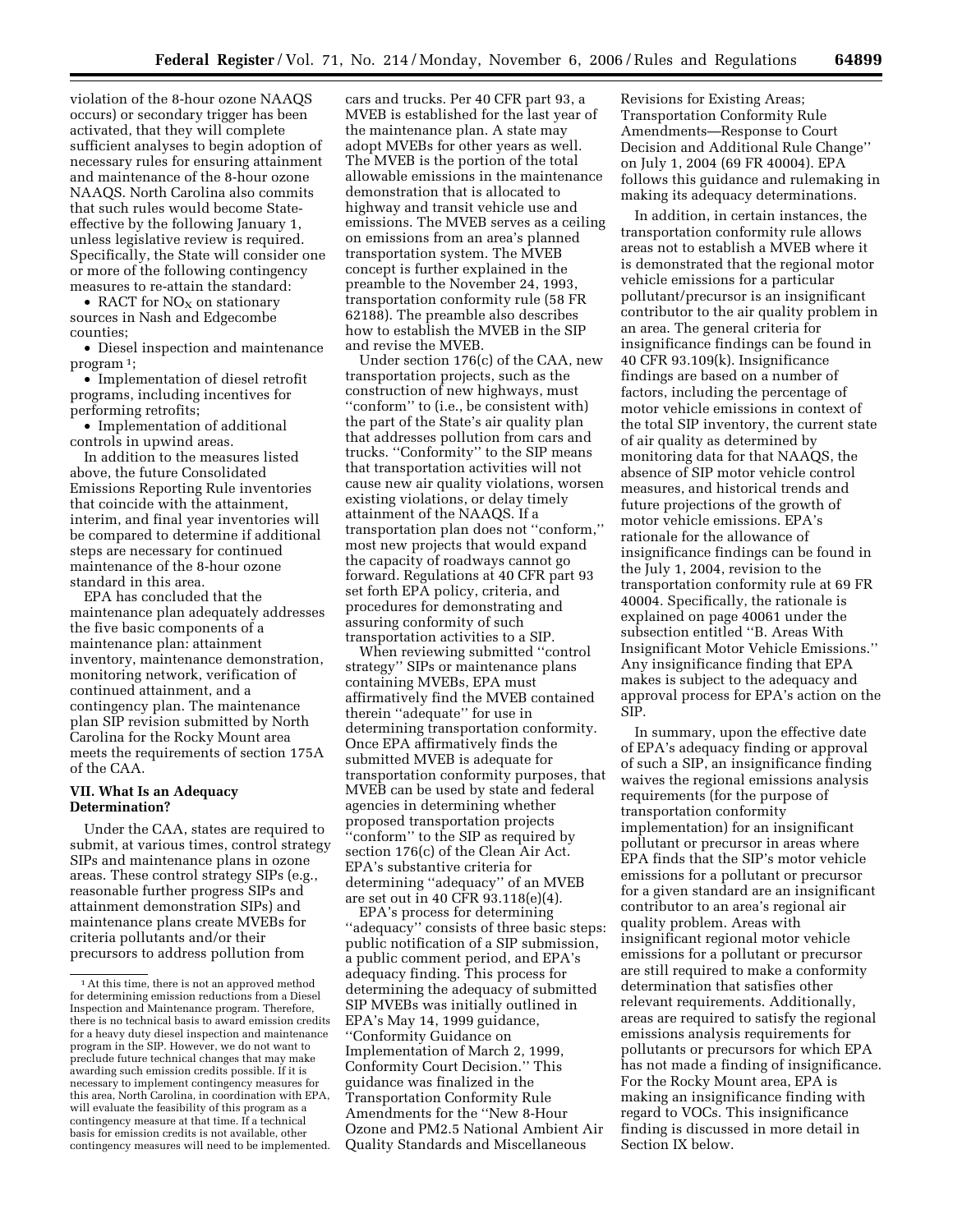violation of the 8-hour ozone NAAQS occurs) or secondary trigger has been activated, that they will complete sufficient analyses to begin adoption of necessary rules for ensuring attainment and maintenance of the 8-hour ozone NAAQS. North Carolina also commits that such rules would become Stateeffective by the following January 1, unless legislative review is required. Specifically, the State will consider one or more of the following contingency measures to re-attain the standard:

• RACT for  $NO<sub>X</sub>$  on stationary sources in Nash and Edgecombe counties;

• Diesel inspection and maintenance program 1;

• Implementation of diesel retrofit programs, including incentives for performing retrofits;

• Implementation of additional controls in upwind areas.

In addition to the measures listed above, the future Consolidated Emissions Reporting Rule inventories that coincide with the attainment, interim, and final year inventories will be compared to determine if additional steps are necessary for continued maintenance of the 8-hour ozone standard in this area.

EPA has concluded that the maintenance plan adequately addresses the five basic components of a maintenance plan: attainment inventory, maintenance demonstration, monitoring network, verification of continued attainment, and a contingency plan. The maintenance plan SIP revision submitted by North Carolina for the Rocky Mount area meets the requirements of section 175A of the CAA.

### **VII. What Is an Adequacy Determination?**

Under the CAA, states are required to submit, at various times, control strategy SIPs and maintenance plans in ozone areas. These control strategy SIPs (e.g., reasonable further progress SIPs and attainment demonstration SIPs) and maintenance plans create MVEBs for criteria pollutants and/or their precursors to address pollution from

cars and trucks. Per 40 CFR part 93, a MVEB is established for the last year of the maintenance plan. A state may adopt MVEBs for other years as well. The MVEB is the portion of the total allowable emissions in the maintenance demonstration that is allocated to highway and transit vehicle use and emissions. The MVEB serves as a ceiling on emissions from an area's planned transportation system. The MVEB concept is further explained in the preamble to the November 24, 1993, transportation conformity rule (58 FR 62188). The preamble also describes how to establish the MVEB in the SIP and revise the MVEB.

Under section 176(c) of the CAA, new transportation projects, such as the construction of new highways, must ''conform'' to (i.e., be consistent with) the part of the State's air quality plan that addresses pollution from cars and trucks. ''Conformity'' to the SIP means that transportation activities will not cause new air quality violations, worsen existing violations, or delay timely attainment of the NAAQS. If a transportation plan does not ''conform,'' most new projects that would expand the capacity of roadways cannot go forward. Regulations at 40 CFR part 93 set forth EPA policy, criteria, and procedures for demonstrating and assuring conformity of such transportation activities to a SIP.

When reviewing submitted ''control strategy'' SIPs or maintenance plans containing MVEBs, EPA must affirmatively find the MVEB contained therein ''adequate'' for use in determining transportation conformity. Once EPA affirmatively finds the submitted MVEB is adequate for transportation conformity purposes, that MVEB can be used by state and federal agencies in determining whether proposed transportation projects 'conform'' to the SIP as required by section 176(c) of the Clean Air Act. EPA's substantive criteria for determining ''adequacy'' of an MVEB are set out in 40 CFR 93.118(e)(4).

EPA's process for determining ''adequacy'' consists of three basic steps: public notification of a SIP submission, a public comment period, and EPA's adequacy finding. This process for determining the adequacy of submitted SIP MVEBs was initially outlined in EPA's May 14, 1999 guidance, ''Conformity Guidance on Implementation of March 2, 1999, Conformity Court Decision.'' This guidance was finalized in the Transportation Conformity Rule Amendments for the ''New 8-Hour Ozone and PM2.5 National Ambient Air Quality Standards and Miscellaneous

Revisions for Existing Areas; Transportation Conformity Rule Amendments—Response to Court Decision and Additional Rule Change'' on July 1, 2004 (69 FR 40004). EPA follows this guidance and rulemaking in making its adequacy determinations.

In addition, in certain instances, the transportation conformity rule allows areas not to establish a MVEB where it is demonstrated that the regional motor vehicle emissions for a particular pollutant/precursor is an insignificant contributor to the air quality problem in an area. The general criteria for insignificance findings can be found in 40 CFR 93.109(k). Insignificance findings are based on a number of factors, including the percentage of motor vehicle emissions in context of the total SIP inventory, the current state of air quality as determined by monitoring data for that NAAQS, the absence of SIP motor vehicle control measures, and historical trends and future projections of the growth of motor vehicle emissions. EPA's rationale for the allowance of insignificance findings can be found in the July 1, 2004, revision to the transportation conformity rule at 69 FR 40004. Specifically, the rationale is explained on page 40061 under the subsection entitled ''B. Areas With Insignificant Motor Vehicle Emissions.'' Any insignificance finding that EPA makes is subject to the adequacy and approval process for EPA's action on the SIP.

In summary, upon the effective date of EPA's adequacy finding or approval of such a SIP, an insignificance finding waives the regional emissions analysis requirements (for the purpose of transportation conformity implementation) for an insignificant pollutant or precursor in areas where EPA finds that the SIP's motor vehicle emissions for a pollutant or precursor for a given standard are an insignificant contributor to an area's regional air quality problem. Areas with insignificant regional motor vehicle emissions for a pollutant or precursor are still required to make a conformity determination that satisfies other relevant requirements. Additionally, areas are required to satisfy the regional emissions analysis requirements for pollutants or precursors for which EPA has not made a finding of insignificance. For the Rocky Mount area, EPA is making an insignificance finding with regard to VOCs. This insignificance finding is discussed in more detail in Section IX below.

<sup>&</sup>lt;sup>1</sup> At this time, there is not an approved method for determining emission reductions from a Diesel Inspection and Maintenance program. Therefore, there is no technical basis to award emission credits for a heavy duty diesel inspection and maintenance program in the SIP. However, we do not want to preclude future technical changes that may make awarding such emission credits possible. If it is necessary to implement contingency measures for this area, North Carolina, in coordination with EPA, will evaluate the feasibility of this program as a contingency measure at that time. If a technical basis for emission credits is not available, other contingency measures will need to be implemented.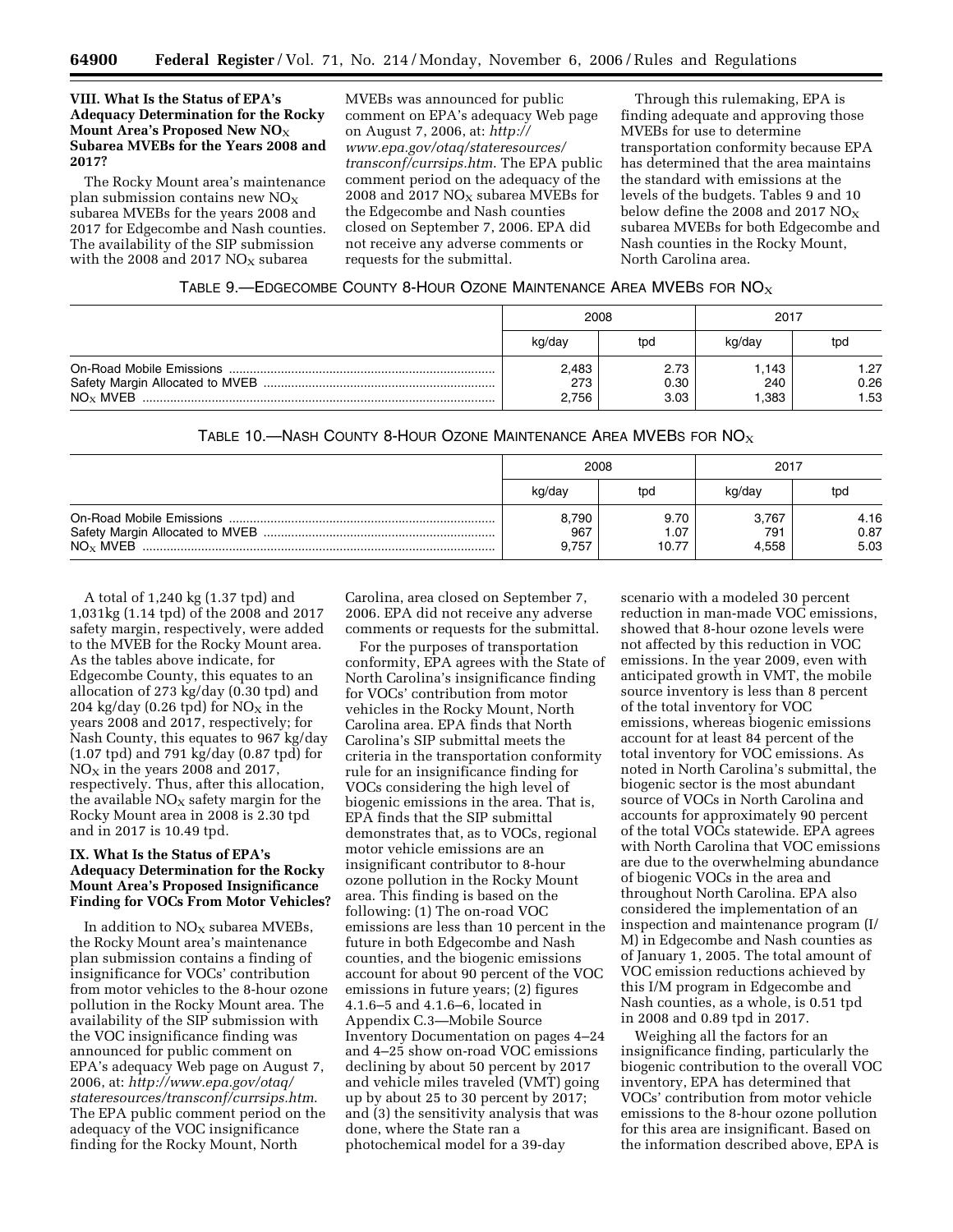## **VIII. What Is the Status of EPA's Adequacy Determination for the Rocky Mount Area's Proposed New NO**X **Subarea MVEBs for the Years 2008 and 2017?**

The Rocky Mount area's maintenance plan submission contains new  $NO<sub>x</sub>$ subarea MVEBs for the years 2008 and 2017 for Edgecombe and Nash counties. The availability of the SIP submission with the 2008 and 2017  $NO<sub>X</sub>$  subarea

MVEBs was announced for public comment on EPA's adequacy Web page on August 7, 2006, at: *http:// www.epa.gov/otaq/stateresources/ transconf/currsips.htm*. The EPA public comment period on the adequacy of the 2008 and 2017  $NO<sub>X</sub>$  subarea MVEBs for the Edgecombe and Nash counties closed on September 7, 2006. EPA did not receive any adverse comments or requests for the submittal.

Through this rulemaking, EPA is finding adequate and approving those MVEBs for use to determine transportation conformity because EPA has determined that the area maintains the standard with emissions at the levels of the budgets. Tables 9 and 10 below define the 2008 and 2017  $NO<sub>x</sub>$ subarea MVEBs for both Edgecombe and Nash counties in the Rocky Mount, North Carolina area.

|             | 2008                  |                      | 2017                 |                      |  |
|-------------|-----------------------|----------------------|----------------------|----------------------|--|
|             | kg/day                | tod                  | kg/day               | tpd                  |  |
| $NO_x$ MVEB | 2,483<br>273<br>2.756 | 2.73<br>0.30<br>3.03 | 1,143<br>240<br>.383 | 1.27<br>0.26<br>1.53 |  |

TABLE 10.—NASH COUNTY 8-HOUR OZONE MAINTENANCE AREA MVEBS FOR  $NO<sub>X</sub>$ 

|             |                       | 2008                  | 2017                  |                      |  |
|-------------|-----------------------|-----------------------|-----------------------|----------------------|--|
|             | kg/day                | tod                   | kg/day                | tpd                  |  |
| $NO_x$ MVEB | 8,790<br>967<br>9.757 | 9.70<br>1.07<br>10.77 | 3,767<br>791<br>4.558 | 4.16<br>0.87<br>5.03 |  |

A total of 1,240 kg (1.37 tpd) and 1,031kg (1.14 tpd) of the 2008 and 2017 safety margin, respectively, were added to the MVEB for the Rocky Mount area. As the tables above indicate, for Edgecombe County, this equates to an allocation of 273 kg/day (0.30 tpd) and 204 kg/day (0.26 tpd) for  $NO<sub>x</sub>$  in the years 2008 and 2017, respectively; for Nash County, this equates to 967 kg/day (1.07 tpd) and 791 kg/day (0.87 tpd) for  $NO<sub>X</sub>$  in the years 2008 and 2017, respectively. Thus, after this allocation, the available  $NO<sub>x</sub>$  safety margin for the Rocky Mount area in 2008 is 2.30 tpd and in 2017 is 10.49 tpd.

# **IX. What Is the Status of EPA's Adequacy Determination for the Rocky Mount Area's Proposed Insignificance Finding for VOCs From Motor Vehicles?**

In addition to  $NO<sub>X</sub>$  subarea MVEBs, the Rocky Mount area's maintenance plan submission contains a finding of insignificance for VOCs' contribution from motor vehicles to the 8-hour ozone pollution in the Rocky Mount area. The availability of the SIP submission with the VOC insignificance finding was announced for public comment on EPA's adequacy Web page on August 7, 2006, at: *http://www.epa.gov/otaq/ stateresources/transconf/currsips.htm*. The EPA public comment period on the adequacy of the VOC insignificance finding for the Rocky Mount, North

Carolina, area closed on September 7, 2006. EPA did not receive any adverse comments or requests for the submittal.

For the purposes of transportation conformity, EPA agrees with the State of North Carolina's insignificance finding for VOCs' contribution from motor vehicles in the Rocky Mount, North Carolina area. EPA finds that North Carolina's SIP submittal meets the criteria in the transportation conformity rule for an insignificance finding for VOCs considering the high level of biogenic emissions in the area. That is, EPA finds that the SIP submittal demonstrates that, as to VOCs, regional motor vehicle emissions are an insignificant contributor to 8-hour ozone pollution in the Rocky Mount area. This finding is based on the following: (1) The on-road VOC emissions are less than 10 percent in the future in both Edgecombe and Nash counties, and the biogenic emissions account for about 90 percent of the VOC emissions in future years; (2) figures 4.1.6–5 and 4.1.6–6, located in Appendix C.3—Mobile Source Inventory Documentation on pages 4–24 and 4–25 show on-road VOC emissions declining by about 50 percent by 2017 and vehicle miles traveled (VMT) going up by about 25 to 30 percent by 2017; and (3) the sensitivity analysis that was done, where the State ran a photochemical model for a 39-day

scenario with a modeled 30 percent reduction in man-made VOC emissions, showed that 8-hour ozone levels were not affected by this reduction in VOC emissions. In the year 2009, even with anticipated growth in VMT, the mobile source inventory is less than 8 percent of the total inventory for VOC emissions, whereas biogenic emissions account for at least 84 percent of the total inventory for VOC emissions. As noted in North Carolina's submittal, the biogenic sector is the most abundant source of VOCs in North Carolina and accounts for approximately 90 percent of the total VOCs statewide. EPA agrees with North Carolina that VOC emissions are due to the overwhelming abundance of biogenic VOCs in the area and throughout North Carolina. EPA also considered the implementation of an inspection and maintenance program (I/ M) in Edgecombe and Nash counties as of January 1, 2005. The total amount of VOC emission reductions achieved by this I/M program in Edgecombe and Nash counties, as a whole, is 0.51 tpd in 2008 and 0.89 tpd in 2017.

Weighing all the factors for an insignificance finding, particularly the biogenic contribution to the overall VOC inventory, EPA has determined that VOCs' contribution from motor vehicle emissions to the 8-hour ozone pollution for this area are insignificant. Based on the information described above, EPA is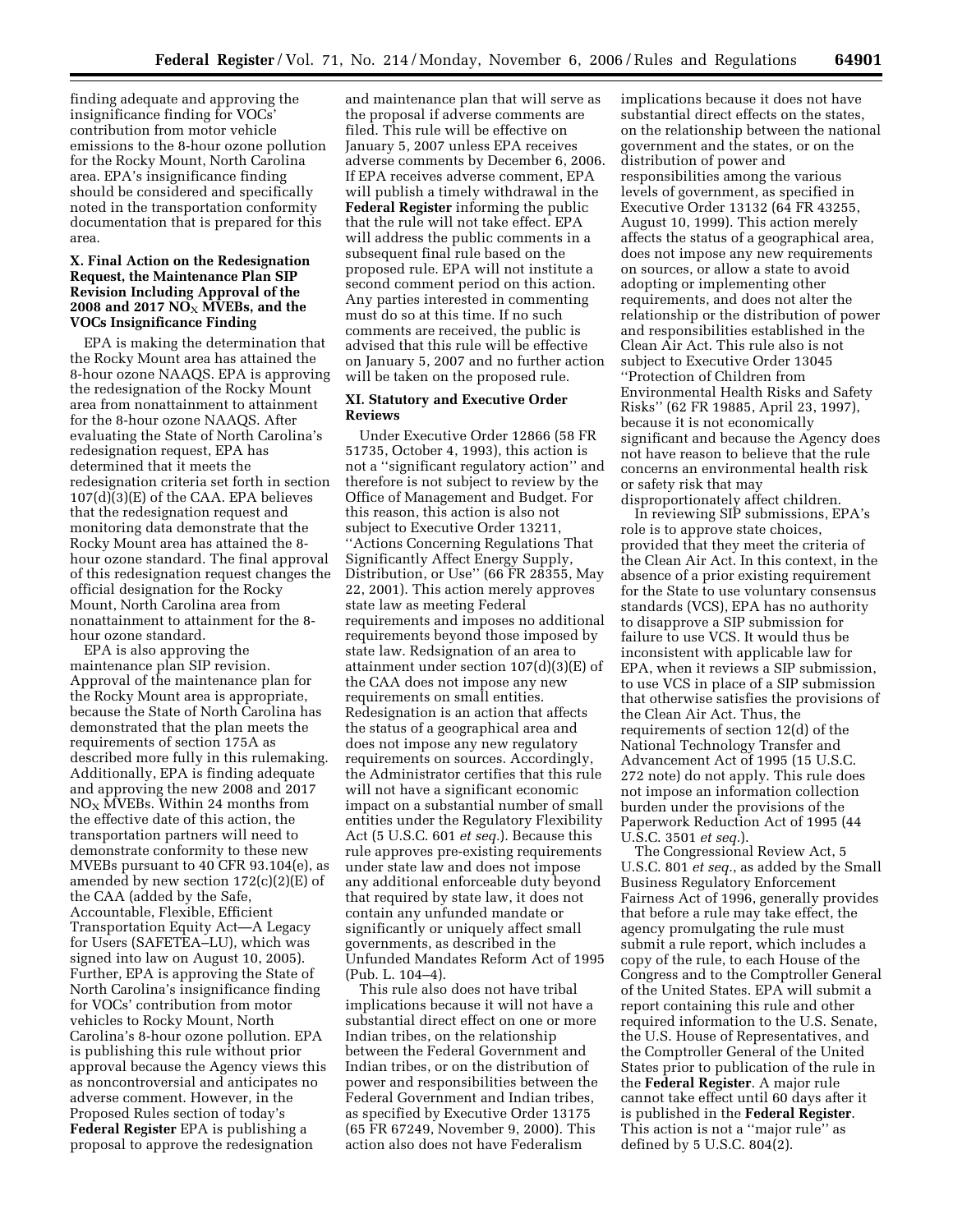finding adequate and approving the insignificance finding for VOCs' contribution from motor vehicle emissions to the 8-hour ozone pollution for the Rocky Mount, North Carolina area. EPA's insignificance finding should be considered and specifically noted in the transportation conformity documentation that is prepared for this area.

## **X. Final Action on the Redesignation Request, the Maintenance Plan SIP Revision Including Approval of the**   $2008$  and  $2017$   $\overline{NO_X}$   $\overline{MVEBs}$ , and the **VOCs Insignificance Finding**

EPA is making the determination that the Rocky Mount area has attained the 8-hour ozone NAAQS. EPA is approving the redesignation of the Rocky Mount area from nonattainment to attainment for the 8-hour ozone NAAQS. After evaluating the State of North Carolina's redesignation request, EPA has determined that it meets the redesignation criteria set forth in section 107(d)(3)(E) of the CAA. EPA believes that the redesignation request and monitoring data demonstrate that the Rocky Mount area has attained the 8 hour ozone standard. The final approval of this redesignation request changes the official designation for the Rocky Mount, North Carolina area from nonattainment to attainment for the 8 hour ozone standard.

EPA is also approving the maintenance plan SIP revision. Approval of the maintenance plan for the Rocky Mount area is appropriate, because the State of North Carolina has demonstrated that the plan meets the requirements of section 175A as described more fully in this rulemaking. Additionally, EPA is finding adequate and approving the new 2008 and 2017 NOX MVEBs. Within 24 months from the effective date of this action, the transportation partners will need to demonstrate conformity to these new MVEBs pursuant to 40 CFR 93.104(e), as amended by new section  $172(c)(2)(E)$  of the CAA (added by the Safe, Accountable, Flexible, Efficient Transportation Equity Act—A Legacy for Users (SAFETEA–LU), which was signed into law on August 10, 2005). Further, EPA is approving the State of North Carolina's insignificance finding for VOCs' contribution from motor vehicles to Rocky Mount, North Carolina's 8-hour ozone pollution. EPA is publishing this rule without prior approval because the Agency views this as noncontroversial and anticipates no adverse comment. However, in the Proposed Rules section of today's **Federal Register** EPA is publishing a proposal to approve the redesignation

and maintenance plan that will serve as the proposal if adverse comments are filed. This rule will be effective on January 5, 2007 unless EPA receives adverse comments by December 6, 2006. If EPA receives adverse comment, EPA will publish a timely withdrawal in the **Federal Register** informing the public that the rule will not take effect. EPA will address the public comments in a subsequent final rule based on the proposed rule. EPA will not institute a second comment period on this action. Any parties interested in commenting must do so at this time. If no such comments are received, the public is advised that this rule will be effective on January 5, 2007 and no further action will be taken on the proposed rule.

## **XI. Statutory and Executive Order Reviews**

Under Executive Order 12866 (58 FR 51735, October 4, 1993), this action is not a ''significant regulatory action'' and therefore is not subject to review by the Office of Management and Budget. For this reason, this action is also not subject to Executive Order 13211, ''Actions Concerning Regulations That Significantly Affect Energy Supply, Distribution, or Use'' (66 FR 28355, May 22, 2001). This action merely approves state law as meeting Federal requirements and imposes no additional requirements beyond those imposed by state law. Redsignation of an area to attainment under section 107(d)(3)(E) of the CAA does not impose any new requirements on small entities. Redesignation is an action that affects the status of a geographical area and does not impose any new regulatory requirements on sources. Accordingly, the Administrator certifies that this rule will not have a significant economic impact on a substantial number of small entities under the Regulatory Flexibility Act (5 U.S.C. 601 *et seq.*). Because this rule approves pre-existing requirements under state law and does not impose any additional enforceable duty beyond that required by state law, it does not contain any unfunded mandate or significantly or uniquely affect small governments, as described in the Unfunded Mandates Reform Act of 1995 (Pub. L. 104–4).

This rule also does not have tribal implications because it will not have a substantial direct effect on one or more Indian tribes, on the relationship between the Federal Government and Indian tribes, or on the distribution of power and responsibilities between the Federal Government and Indian tribes, as specified by Executive Order 13175 (65 FR 67249, November 9, 2000). This action also does not have Federalism

implications because it does not have substantial direct effects on the states, on the relationship between the national government and the states, or on the distribution of power and responsibilities among the various levels of government, as specified in Executive Order 13132 (64 FR 43255, August 10, 1999). This action merely affects the status of a geographical area, does not impose any new requirements on sources, or allow a state to avoid adopting or implementing other requirements, and does not alter the relationship or the distribution of power and responsibilities established in the Clean Air Act. This rule also is not subject to Executive Order 13045 ''Protection of Children from Environmental Health Risks and Safety Risks'' (62 FR 19885, April 23, 1997), because it is not economically significant and because the Agency does not have reason to believe that the rule concerns an environmental health risk or safety risk that may disproportionately affect children.

In reviewing SIP submissions, EPA's role is to approve state choices, provided that they meet the criteria of the Clean Air Act. In this context, in the absence of a prior existing requirement for the State to use voluntary consensus standards (VCS), EPA has no authority to disapprove a SIP submission for failure to use VCS. It would thus be inconsistent with applicable law for EPA, when it reviews a SIP submission, to use VCS in place of a SIP submission that otherwise satisfies the provisions of the Clean Air Act. Thus, the requirements of section 12(d) of the National Technology Transfer and Advancement Act of 1995 (15 U.S.C. 272 note) do not apply. This rule does not impose an information collection burden under the provisions of the Paperwork Reduction Act of 1995 (44 U.S.C. 3501 *et seq.*).

The Congressional Review Act, 5 U.S.C. 801 *et seq.*, as added by the Small Business Regulatory Enforcement Fairness Act of 1996, generally provides that before a rule may take effect, the agency promulgating the rule must submit a rule report, which includes a copy of the rule, to each House of the Congress and to the Comptroller General of the United States. EPA will submit a report containing this rule and other required information to the U.S. Senate, the U.S. House of Representatives, and the Comptroller General of the United States prior to publication of the rule in the **Federal Register**. A major rule cannot take effect until 60 days after it is published in the **Federal Register**. This action is not a ''major rule'' as defined by 5 U.S.C. 804(2).